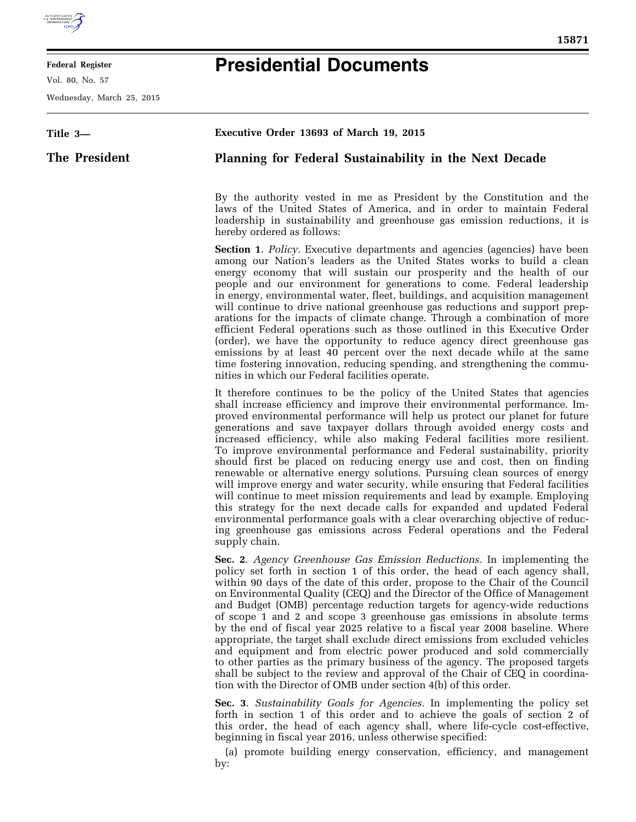

## **Federal Register**

Vol. 80, No. 57

Wednesday, March 25, 2015

## **Presidential Documents**

| Title 3-      | Executive Order 13693 of March 19, 2015                                                                                                                                                                                                                                                                                                                                                                                                                                                                                                                                                                                                                                                                                                                                                                                                                                                                                                                                                                                                                      |
|---------------|--------------------------------------------------------------------------------------------------------------------------------------------------------------------------------------------------------------------------------------------------------------------------------------------------------------------------------------------------------------------------------------------------------------------------------------------------------------------------------------------------------------------------------------------------------------------------------------------------------------------------------------------------------------------------------------------------------------------------------------------------------------------------------------------------------------------------------------------------------------------------------------------------------------------------------------------------------------------------------------------------------------------------------------------------------------|
| The President | Planning for Federal Sustainability in the Next Decade                                                                                                                                                                                                                                                                                                                                                                                                                                                                                                                                                                                                                                                                                                                                                                                                                                                                                                                                                                                                       |
|               | By the authority vested in me as President by the Constitution and the<br>laws of the United States of America, and in order to maintain Federal<br>leadership in sustainability and greenhouse gas emission reductions, it is<br>hereby ordered as follows:                                                                                                                                                                                                                                                                                                                                                                                                                                                                                                                                                                                                                                                                                                                                                                                                 |
|               | <b>Section 1.</b> Policy. Executive departments and agencies (agencies) have been<br>among our Nation's leaders as the United States works to build a clean<br>energy economy that will sustain our prosperity and the health of our<br>people and our environment for generations to come. Federal leadership<br>in energy, environmental water, fleet, buildings, and acquisition management<br>will continue to drive national greenhouse gas reductions and support prep-<br>arations for the impacts of climate change. Through a combination of more<br>efficient Federal operations such as those outlined in this Executive Order<br>(order), we have the opportunity to reduce agency direct greenhouse gas<br>emissions by at least 40 percent over the next decade while at the same<br>time fostering innovation, reducing spending, and strengthening the commu-<br>nities in which our Federal facilities operate.                                                                                                                             |
|               | It therefore continues to be the policy of the United States that agencies<br>shall increase efficiency and improve their environmental performance. Im-<br>proved environmental performance will help us protect our planet for future<br>generations and save taxpayer dollars through avoided energy costs and<br>increased efficiency, while also making Federal facilities more resilient.<br>To improve environmental performance and Federal sustainability, priority<br>should first be placed on reducing energy use and cost, then on finding<br>renewable or alternative energy solutions. Pursuing clean sources of energy<br>will improve energy and water security, while ensuring that Federal facilities<br>will continue to meet mission requirements and lead by example. Employing<br>this strategy for the next decade calls for expanded and updated Federal<br>environmental performance goals with a clear overarching objective of reduc-<br>ing greenhouse gas emissions across Federal operations and the Federal<br>supply chain. |
|               | Sec. 2. Agency Greenhouse Gas Emission Reductions. In implementing the<br>policy set forth in section 1 of this order, the head of each agency shall,<br>within 90 days of the date of this order, propose to the Chair of the Council<br>on Environmental Quality (CEQ) and the Director of the Office of Management<br>and Budget (OMB) percentage reduction targets for agency-wide reductions<br>of scope 1 and 2 and scope 3 greenhouse gas emissions in absolute terms<br>by the end of fiscal year 2025 relative to a fiscal year 2008 baseline. Where<br>appropriate, the target shall exclude direct emissions from excluded vehicles<br>and equipment and from electric power produced and sold commercially<br>to other parties as the primary business of the agency. The proposed targets<br>shall be subject to the review and approval of the Chair of CEQ in coordina-<br>tion with the Director of OMB under section 4(b) of this order.                                                                                                    |
|               | Sec. 3. Sustainability Goals for Agencies. In implementing the policy set<br>forth in section 1 of this order and to achieve the goals of section 2 of<br>this order, the head of each agency shall, where life-cycle cost-effective,<br>beginning in fiscal year 2016, unless otherwise specified:<br>(a) promote building energy conservation, efficiency, and management<br>by:                                                                                                                                                                                                                                                                                                                                                                                                                                                                                                                                                                                                                                                                           |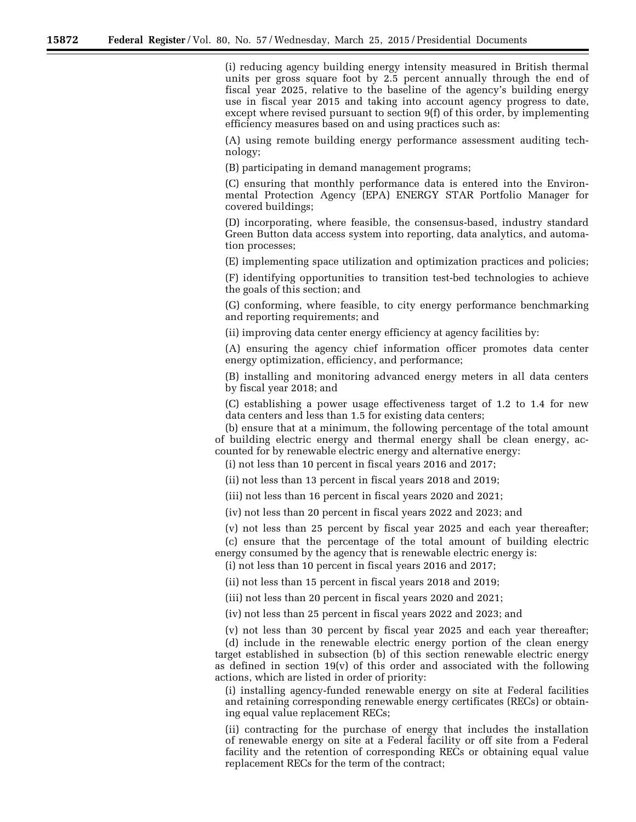(i) reducing agency building energy intensity measured in British thermal units per gross square foot by 2.5 percent annually through the end of fiscal year 2025, relative to the baseline of the agency's building energy use in fiscal year 2015 and taking into account agency progress to date, except where revised pursuant to section 9(f) of this order, by implementing efficiency measures based on and using practices such as:

(A) using remote building energy performance assessment auditing technology;

(B) participating in demand management programs;

(C) ensuring that monthly performance data is entered into the Environmental Protection Agency (EPA) ENERGY STAR Portfolio Manager for covered buildings;

(D) incorporating, where feasible, the consensus-based, industry standard Green Button data access system into reporting, data analytics, and automation processes;

(E) implementing space utilization and optimization practices and policies;

(F) identifying opportunities to transition test-bed technologies to achieve the goals of this section; and

(G) conforming, where feasible, to city energy performance benchmarking and reporting requirements; and

(ii) improving data center energy efficiency at agency facilities by:

(A) ensuring the agency chief information officer promotes data center energy optimization, efficiency, and performance;

(B) installing and monitoring advanced energy meters in all data centers by fiscal year 2018; and

(C) establishing a power usage effectiveness target of 1.2 to 1.4 for new data centers and less than 1.5 for existing data centers;

(b) ensure that at a minimum, the following percentage of the total amount of building electric energy and thermal energy shall be clean energy, accounted for by renewable electric energy and alternative energy:

(i) not less than 10 percent in fiscal years 2016 and 2017;

(ii) not less than 13 percent in fiscal years 2018 and 2019;

(iii) not less than 16 percent in fiscal years 2020 and 2021;

(iv) not less than 20 percent in fiscal years 2022 and 2023; and

(v) not less than 25 percent by fiscal year 2025 and each year thereafter; (c) ensure that the percentage of the total amount of building electric

energy consumed by the agency that is renewable electric energy is:

(i) not less than 10 percent in fiscal years 2016 and 2017;

(ii) not less than 15 percent in fiscal years 2018 and 2019;

(iii) not less than 20 percent in fiscal years 2020 and 2021;

actions, which are listed in order of priority:

(iv) not less than 25 percent in fiscal years 2022 and 2023; and

(v) not less than 30 percent by fiscal year 2025 and each year thereafter; (d) include in the renewable electric energy portion of the clean energy target established in subsection (b) of this section renewable electric energy as defined in section  $19(v)$  of this order and associated with the following

(i) installing agency-funded renewable energy on site at Federal facilities and retaining corresponding renewable energy certificates (RECs) or obtaining equal value replacement RECs;

(ii) contracting for the purchase of energy that includes the installation of renewable energy on site at a Federal facility or off site from a Federal facility and the retention of corresponding RECs or obtaining equal value replacement RECs for the term of the contract;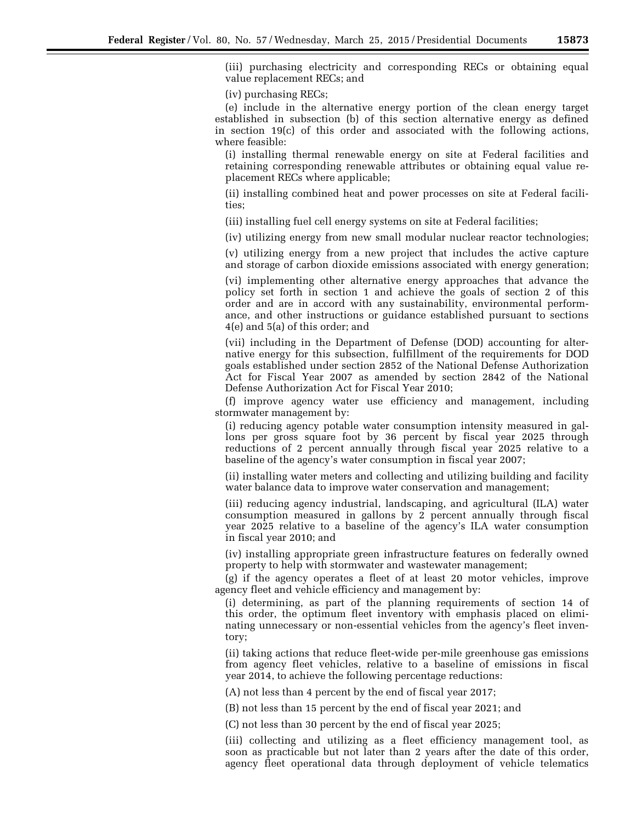(iii) purchasing electricity and corresponding RECs or obtaining equal value replacement RECs; and

(iv) purchasing RECs;

(e) include in the alternative energy portion of the clean energy target established in subsection (b) of this section alternative energy as defined in section 19(c) of this order and associated with the following actions, where feasible:

(i) installing thermal renewable energy on site at Federal facilities and retaining corresponding renewable attributes or obtaining equal value replacement RECs where applicable;

(ii) installing combined heat and power processes on site at Federal facilities;

(iii) installing fuel cell energy systems on site at Federal facilities;

(iv) utilizing energy from new small modular nuclear reactor technologies;

(v) utilizing energy from a new project that includes the active capture and storage of carbon dioxide emissions associated with energy generation;

(vi) implementing other alternative energy approaches that advance the policy set forth in section 1 and achieve the goals of section 2 of this order and are in accord with any sustainability, environmental performance, and other instructions or guidance established pursuant to sections 4(e) and 5(a) of this order; and

(vii) including in the Department of Defense (DOD) accounting for alternative energy for this subsection, fulfillment of the requirements for DOD goals established under section 2852 of the National Defense Authorization Act for Fiscal Year 2007 as amended by section 2842 of the National Defense Authorization Act for Fiscal Year 2010;

(f) improve agency water use efficiency and management, including stormwater management by:

(i) reducing agency potable water consumption intensity measured in gallons per gross square foot by 36 percent by fiscal year 2025 through reductions of 2 percent annually through fiscal year 2025 relative to a baseline of the agency's water consumption in fiscal year 2007;

(ii) installing water meters and collecting and utilizing building and facility water balance data to improve water conservation and management;

(iii) reducing agency industrial, landscaping, and agricultural (ILA) water consumption measured in gallons by 2 percent annually through fiscal year 2025 relative to a baseline of the agency's ILA water consumption in fiscal year 2010; and

(iv) installing appropriate green infrastructure features on federally owned property to help with stormwater and wastewater management;

(g) if the agency operates a fleet of at least 20 motor vehicles, improve agency fleet and vehicle efficiency and management by:

(i) determining, as part of the planning requirements of section 14 of this order, the optimum fleet inventory with emphasis placed on eliminating unnecessary or non-essential vehicles from the agency's fleet inventory;

(ii) taking actions that reduce fleet-wide per-mile greenhouse gas emissions from agency fleet vehicles, relative to a baseline of emissions in fiscal year 2014, to achieve the following percentage reductions:

(A) not less than 4 percent by the end of fiscal year 2017;

(B) not less than 15 percent by the end of fiscal year 2021; and

(C) not less than 30 percent by the end of fiscal year 2025;

(iii) collecting and utilizing as a fleet efficiency management tool, as soon as practicable but not later than 2 years after the date of this order, agency fleet operational data through deployment of vehicle telematics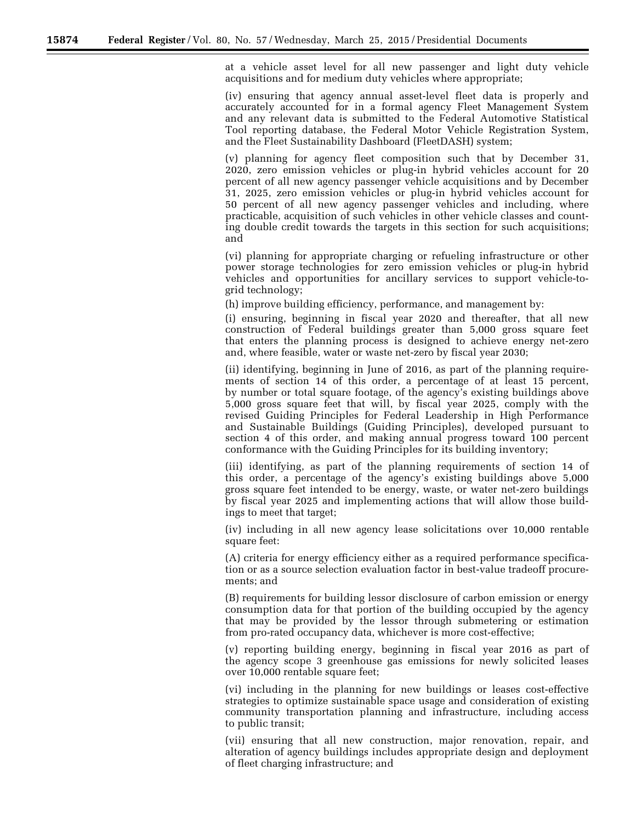at a vehicle asset level for all new passenger and light duty vehicle acquisitions and for medium duty vehicles where appropriate;

(iv) ensuring that agency annual asset-level fleet data is properly and accurately accounted for in a formal agency Fleet Management System and any relevant data is submitted to the Federal Automotive Statistical Tool reporting database, the Federal Motor Vehicle Registration System, and the Fleet Sustainability Dashboard (FleetDASH) system;

(v) planning for agency fleet composition such that by December 31, 2020, zero emission vehicles or plug-in hybrid vehicles account for 20 percent of all new agency passenger vehicle acquisitions and by December 31, 2025, zero emission vehicles or plug-in hybrid vehicles account for 50 percent of all new agency passenger vehicles and including, where practicable, acquisition of such vehicles in other vehicle classes and counting double credit towards the targets in this section for such acquisitions; and

(vi) planning for appropriate charging or refueling infrastructure or other power storage technologies for zero emission vehicles or plug-in hybrid vehicles and opportunities for ancillary services to support vehicle-togrid technology;

(h) improve building efficiency, performance, and management by:

(i) ensuring, beginning in fiscal year 2020 and thereafter, that all new construction of Federal buildings greater than 5,000 gross square feet that enters the planning process is designed to achieve energy net-zero and, where feasible, water or waste net-zero by fiscal year 2030;

(ii) identifying, beginning in June of 2016, as part of the planning requirements of section 14 of this order, a percentage of at least 15 percent, by number or total square footage, of the agency's existing buildings above 5,000 gross square feet that will, by fiscal year 2025, comply with the revised Guiding Principles for Federal Leadership in High Performance and Sustainable Buildings (Guiding Principles), developed pursuant to section 4 of this order, and making annual progress toward 100 percent conformance with the Guiding Principles for its building inventory;

(iii) identifying, as part of the planning requirements of section 14 of this order, a percentage of the agency's existing buildings above 5,000 gross square feet intended to be energy, waste, or water net-zero buildings by fiscal year 2025 and implementing actions that will allow those buildings to meet that target;

(iv) including in all new agency lease solicitations over 10,000 rentable square feet:

(A) criteria for energy efficiency either as a required performance specification or as a source selection evaluation factor in best-value tradeoff procurements; and

(B) requirements for building lessor disclosure of carbon emission or energy consumption data for that portion of the building occupied by the agency that may be provided by the lessor through submetering or estimation from pro-rated occupancy data, whichever is more cost-effective;

(v) reporting building energy, beginning in fiscal year 2016 as part of the agency scope 3 greenhouse gas emissions for newly solicited leases over 10,000 rentable square feet;

(vi) including in the planning for new buildings or leases cost-effective strategies to optimize sustainable space usage and consideration of existing community transportation planning and infrastructure, including access to public transit;

(vii) ensuring that all new construction, major renovation, repair, and alteration of agency buildings includes appropriate design and deployment of fleet charging infrastructure; and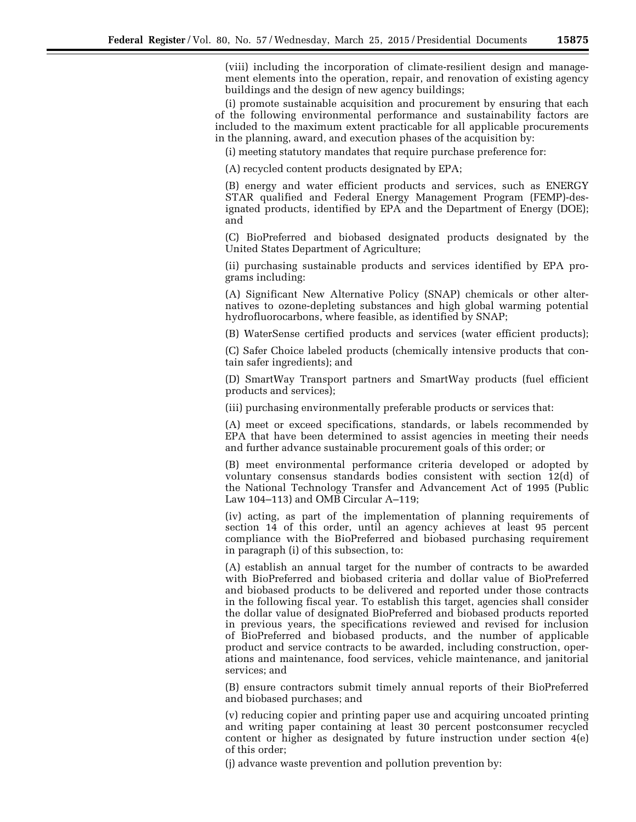(viii) including the incorporation of climate-resilient design and management elements into the operation, repair, and renovation of existing agency buildings and the design of new agency buildings;

(i) promote sustainable acquisition and procurement by ensuring that each of the following environmental performance and sustainability factors are included to the maximum extent practicable for all applicable procurements in the planning, award, and execution phases of the acquisition by:

(i) meeting statutory mandates that require purchase preference for:

(A) recycled content products designated by EPA;

(B) energy and water efficient products and services, such as ENERGY STAR qualified and Federal Energy Management Program (FEMP)-designated products, identified by EPA and the Department of Energy (DOE); and

(C) BioPreferred and biobased designated products designated by the United States Department of Agriculture;

(ii) purchasing sustainable products and services identified by EPA programs including:

(A) Significant New Alternative Policy (SNAP) chemicals or other alternatives to ozone-depleting substances and high global warming potential hydrofluorocarbons, where feasible, as identified by SNAP;

(B) WaterSense certified products and services (water efficient products);

(C) Safer Choice labeled products (chemically intensive products that contain safer ingredients); and

(D) SmartWay Transport partners and SmartWay products (fuel efficient products and services);

(iii) purchasing environmentally preferable products or services that:

(A) meet or exceed specifications, standards, or labels recommended by EPA that have been determined to assist agencies in meeting their needs and further advance sustainable procurement goals of this order; or

(B) meet environmental performance criteria developed or adopted by voluntary consensus standards bodies consistent with section 12(d) of the National Technology Transfer and Advancement Act of 1995 (Public Law 104–113) and OMB Circular A–119;

(iv) acting, as part of the implementation of planning requirements of section 14 of this order, until an agency achieves at least 95 percent compliance with the BioPreferred and biobased purchasing requirement in paragraph (i) of this subsection, to:

(A) establish an annual target for the number of contracts to be awarded with BioPreferred and biobased criteria and dollar value of BioPreferred and biobased products to be delivered and reported under those contracts in the following fiscal year. To establish this target, agencies shall consider the dollar value of designated BioPreferred and biobased products reported in previous years, the specifications reviewed and revised for inclusion of BioPreferred and biobased products, and the number of applicable product and service contracts to be awarded, including construction, operations and maintenance, food services, vehicle maintenance, and janitorial services; and

(B) ensure contractors submit timely annual reports of their BioPreferred and biobased purchases; and

(v) reducing copier and printing paper use and acquiring uncoated printing and writing paper containing at least 30 percent postconsumer recycled content or higher as designated by future instruction under section 4(e) of this order;

(j) advance waste prevention and pollution prevention by: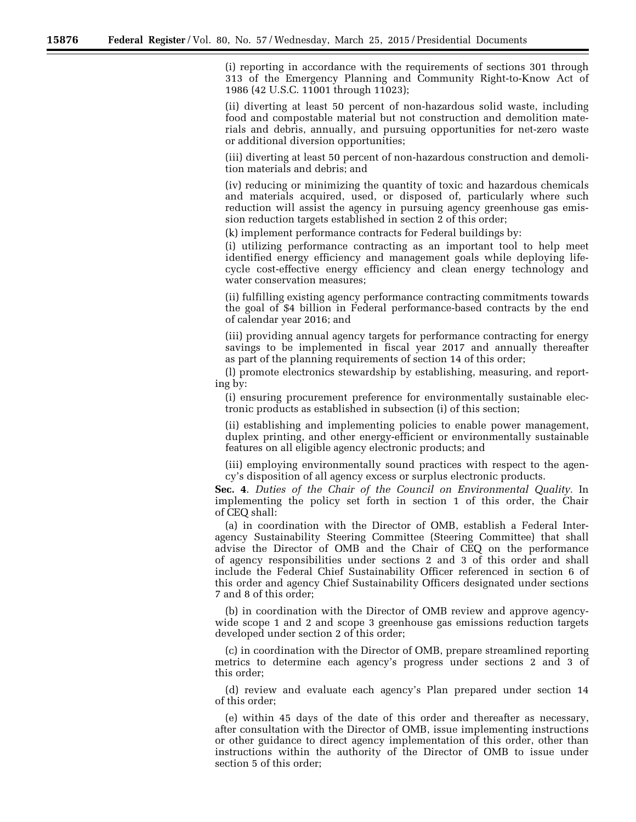(i) reporting in accordance with the requirements of sections 301 through 313 of the Emergency Planning and Community Right-to-Know Act of 1986 (42 U.S.C. 11001 through 11023);

(ii) diverting at least 50 percent of non-hazardous solid waste, including food and compostable material but not construction and demolition materials and debris, annually, and pursuing opportunities for net-zero waste or additional diversion opportunities;

(iii) diverting at least 50 percent of non-hazardous construction and demolition materials and debris; and

(iv) reducing or minimizing the quantity of toxic and hazardous chemicals and materials acquired, used, or disposed of, particularly where such reduction will assist the agency in pursuing agency greenhouse gas emission reduction targets established in section 2 of this order;

(k) implement performance contracts for Federal buildings by:

(i) utilizing performance contracting as an important tool to help meet identified energy efficiency and management goals while deploying lifecycle cost-effective energy efficiency and clean energy technology and water conservation measures;

(ii) fulfilling existing agency performance contracting commitments towards the goal of \$4 billion in Federal performance-based contracts by the end of calendar year 2016; and

(iii) providing annual agency targets for performance contracting for energy savings to be implemented in fiscal year 2017 and annually thereafter as part of the planning requirements of section 14 of this order;

(l) promote electronics stewardship by establishing, measuring, and reporting by:

(i) ensuring procurement preference for environmentally sustainable electronic products as established in subsection (i) of this section;

(ii) establishing and implementing policies to enable power management, duplex printing, and other energy-efficient or environmentally sustainable features on all eligible agency electronic products; and

(iii) employing environmentally sound practices with respect to the agency's disposition of all agency excess or surplus electronic products.

**Sec. 4**. *Duties of the Chair of the Council on Environmental Quality.* In implementing the policy set forth in section 1 of this order, the Chair of CEQ shall:

(a) in coordination with the Director of OMB, establish a Federal Interagency Sustainability Steering Committee (Steering Committee) that shall advise the Director of OMB and the Chair of CEQ on the performance of agency responsibilities under sections 2 and 3 of this order and shall include the Federal Chief Sustainability Officer referenced in section 6 of this order and agency Chief Sustainability Officers designated under sections 7 and 8 of this order;

(b) in coordination with the Director of OMB review and approve agencywide scope 1 and 2 and scope 3 greenhouse gas emissions reduction targets developed under section 2 of this order;

(c) in coordination with the Director of OMB, prepare streamlined reporting metrics to determine each agency's progress under sections 2 and 3 of this order;

(d) review and evaluate each agency's Plan prepared under section 14 of this order;

(e) within 45 days of the date of this order and thereafter as necessary, after consultation with the Director of OMB, issue implementing instructions or other guidance to direct agency implementation of this order, other than instructions within the authority of the Director of OMB to issue under section 5 of this order;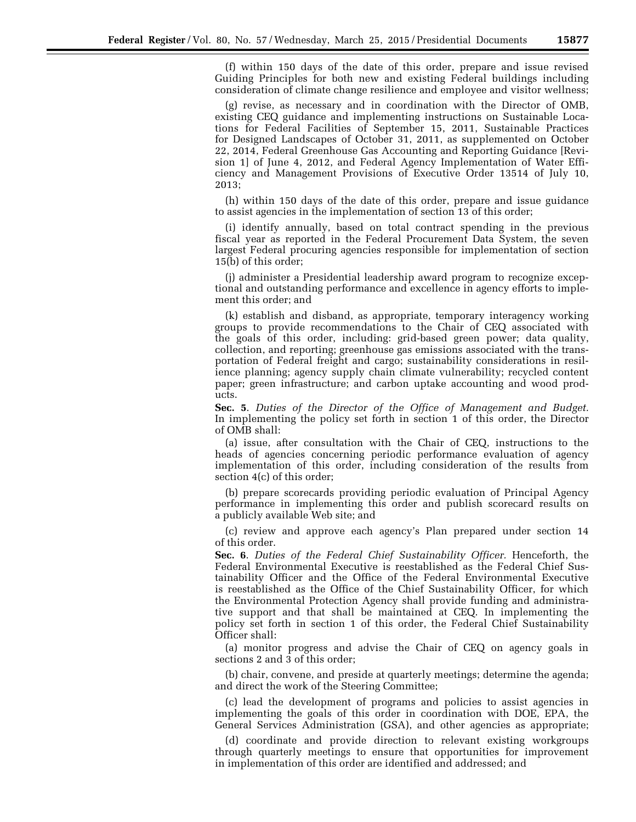(f) within 150 days of the date of this order, prepare and issue revised Guiding Principles for both new and existing Federal buildings including consideration of climate change resilience and employee and visitor wellness;

(g) revise, as necessary and in coordination with the Director of OMB, existing CEQ guidance and implementing instructions on Sustainable Locations for Federal Facilities of September 15, 2011, Sustainable Practices for Designed Landscapes of October 31, 2011, as supplemented on October 22, 2014, Federal Greenhouse Gas Accounting and Reporting Guidance [Revision 1] of June 4, 2012, and Federal Agency Implementation of Water Efficiency and Management Provisions of Executive Order 13514 of July 10, 2013;

(h) within 150 days of the date of this order, prepare and issue guidance to assist agencies in the implementation of section 13 of this order;

(i) identify annually, based on total contract spending in the previous fiscal year as reported in the Federal Procurement Data System, the seven largest Federal procuring agencies responsible for implementation of section 15(b) of this order;

(j) administer a Presidential leadership award program to recognize exceptional and outstanding performance and excellence in agency efforts to implement this order; and

(k) establish and disband, as appropriate, temporary interagency working groups to provide recommendations to the Chair of CEQ associated with the goals of this order, including: grid-based green power; data quality, collection, and reporting; greenhouse gas emissions associated with the transportation of Federal freight and cargo; sustainability considerations in resilience planning; agency supply chain climate vulnerability; recycled content paper; green infrastructure; and carbon uptake accounting and wood products.

**Sec. 5**. *Duties of the Director of the Office of Management and Budget.*  In implementing the policy set forth in section 1 of this order, the Director of OMB shall:

(a) issue, after consultation with the Chair of CEQ, instructions to the heads of agencies concerning periodic performance evaluation of agency implementation of this order, including consideration of the results from section 4(c) of this order;

(b) prepare scorecards providing periodic evaluation of Principal Agency performance in implementing this order and publish scorecard results on a publicly available Web site; and

(c) review and approve each agency's Plan prepared under section 14 of this order.

**Sec. 6**. *Duties of the Federal Chief Sustainability Officer.* Henceforth, the Federal Environmental Executive is reestablished as the Federal Chief Sustainability Officer and the Office of the Federal Environmental Executive is reestablished as the Office of the Chief Sustainability Officer, for which the Environmental Protection Agency shall provide funding and administrative support and that shall be maintained at CEQ. In implementing the policy set forth in section 1 of this order, the Federal Chief Sustainability Officer shall:

(a) monitor progress and advise the Chair of CEQ on agency goals in sections 2 and 3 of this order;

(b) chair, convene, and preside at quarterly meetings; determine the agenda; and direct the work of the Steering Committee;

(c) lead the development of programs and policies to assist agencies in implementing the goals of this order in coordination with DOE, EPA, the General Services Administration (GSA), and other agencies as appropriate;

(d) coordinate and provide direction to relevant existing workgroups through quarterly meetings to ensure that opportunities for improvement in implementation of this order are identified and addressed; and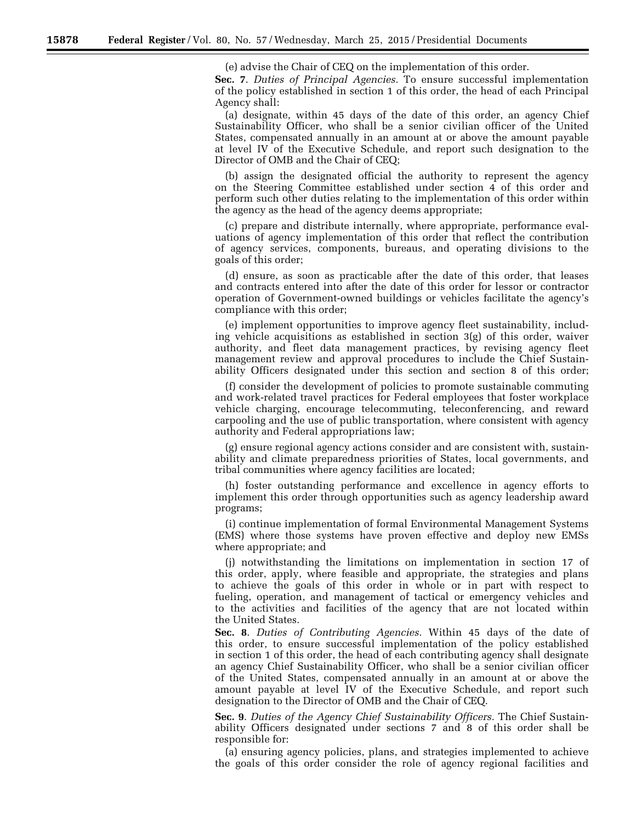(e) advise the Chair of CEQ on the implementation of this order.

**Sec. 7**. *Duties of Principal Agencies.* To ensure successful implementation of the policy established in section 1 of this order, the head of each Principal Agency shall:

(a) designate, within 45 days of the date of this order, an agency Chief Sustainability Officer, who shall be a senior civilian officer of the United States, compensated annually in an amount at or above the amount payable at level IV of the Executive Schedule, and report such designation to the Director of OMB and the Chair of CEQ;

(b) assign the designated official the authority to represent the agency on the Steering Committee established under section 4 of this order and perform such other duties relating to the implementation of this order within the agency as the head of the agency deems appropriate;

(c) prepare and distribute internally, where appropriate, performance evaluations of agency implementation of this order that reflect the contribution of agency services, components, bureaus, and operating divisions to the goals of this order;

(d) ensure, as soon as practicable after the date of this order, that leases and contracts entered into after the date of this order for lessor or contractor operation of Government-owned buildings or vehicles facilitate the agency's compliance with this order;

(e) implement opportunities to improve agency fleet sustainability, including vehicle acquisitions as established in section  $3(g)$  of this order, waiver authority, and fleet data management practices, by revising agency fleet management review and approval procedures to include the Chief Sustainability Officers designated under this section and section 8 of this order;

(f) consider the development of policies to promote sustainable commuting and work-related travel practices for Federal employees that foster workplace vehicle charging, encourage telecommuting, teleconferencing, and reward carpooling and the use of public transportation, where consistent with agency authority and Federal appropriations law;

(g) ensure regional agency actions consider and are consistent with, sustainability and climate preparedness priorities of States, local governments, and tribal communities where agency facilities are located;

(h) foster outstanding performance and excellence in agency efforts to implement this order through opportunities such as agency leadership award programs;

(i) continue implementation of formal Environmental Management Systems (EMS) where those systems have proven effective and deploy new EMSs where appropriate; and

(j) notwithstanding the limitations on implementation in section 17 of this order, apply, where feasible and appropriate, the strategies and plans to achieve the goals of this order in whole or in part with respect to fueling, operation, and management of tactical or emergency vehicles and to the activities and facilities of the agency that are not located within the United States.

**Sec. 8**. *Duties of Contributing Agencies.* Within 45 days of the date of this order, to ensure successful implementation of the policy established in section 1 of this order, the head of each contributing agency shall designate an agency Chief Sustainability Officer, who shall be a senior civilian officer of the United States, compensated annually in an amount at or above the amount payable at level IV of the Executive Schedule, and report such designation to the Director of OMB and the Chair of CEQ.

**Sec. 9**. *Duties of the Agency Chief Sustainability Officers.* The Chief Sustainability Officers designated under sections 7 and 8 of this order shall be responsible for:

(a) ensuring agency policies, plans, and strategies implemented to achieve the goals of this order consider the role of agency regional facilities and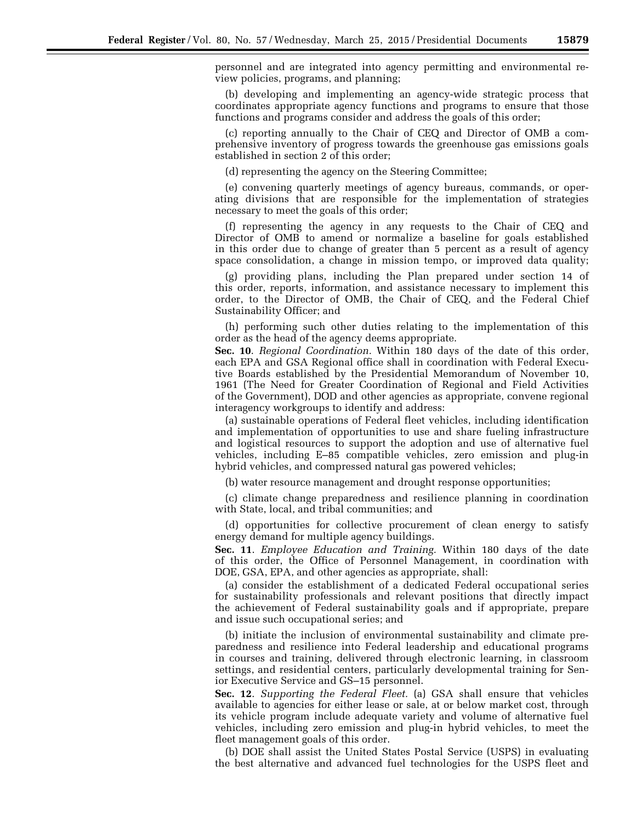personnel and are integrated into agency permitting and environmental review policies, programs, and planning;

(b) developing and implementing an agency-wide strategic process that coordinates appropriate agency functions and programs to ensure that those functions and programs consider and address the goals of this order;

(c) reporting annually to the Chair of CEQ and Director of OMB a comprehensive inventory of progress towards the greenhouse gas emissions goals established in section 2 of this order;

(d) representing the agency on the Steering Committee;

(e) convening quarterly meetings of agency bureaus, commands, or operating divisions that are responsible for the implementation of strategies necessary to meet the goals of this order;

(f) representing the agency in any requests to the Chair of CEQ and Director of OMB to amend or normalize a baseline for goals established in this order due to change of greater than 5 percent as a result of agency space consolidation, a change in mission tempo, or improved data quality;

(g) providing plans, including the Plan prepared under section 14 of this order, reports, information, and assistance necessary to implement this order, to the Director of OMB, the Chair of CEQ, and the Federal Chief Sustainability Officer; and

(h) performing such other duties relating to the implementation of this order as the head of the agency deems appropriate.

**Sec. 10**. *Regional Coordination.* Within 180 days of the date of this order, each EPA and GSA Regional office shall in coordination with Federal Executive Boards established by the Presidential Memorandum of November 10, 1961 (The Need for Greater Coordination of Regional and Field Activities of the Government), DOD and other agencies as appropriate, convene regional interagency workgroups to identify and address:

(a) sustainable operations of Federal fleet vehicles, including identification and implementation of opportunities to use and share fueling infrastructure and logistical resources to support the adoption and use of alternative fuel vehicles, including E–85 compatible vehicles, zero emission and plug-in hybrid vehicles, and compressed natural gas powered vehicles;

(b) water resource management and drought response opportunities;

(c) climate change preparedness and resilience planning in coordination with State, local, and tribal communities; and

(d) opportunities for collective procurement of clean energy to satisfy energy demand for multiple agency buildings.

**Sec. 11**. *Employee Education and Training.* Within 180 days of the date of this order, the Office of Personnel Management, in coordination with DOE, GSA, EPA, and other agencies as appropriate, shall:

(a) consider the establishment of a dedicated Federal occupational series for sustainability professionals and relevant positions that directly impact the achievement of Federal sustainability goals and if appropriate, prepare and issue such occupational series; and

(b) initiate the inclusion of environmental sustainability and climate preparedness and resilience into Federal leadership and educational programs in courses and training, delivered through electronic learning, in classroom settings, and residential centers, particularly developmental training for Senior Executive Service and GS–15 personnel.

**Sec. 12**. *Supporting the Federal Fleet.* (a) GSA shall ensure that vehicles available to agencies for either lease or sale, at or below market cost, through its vehicle program include adequate variety and volume of alternative fuel vehicles, including zero emission and plug-in hybrid vehicles, to meet the fleet management goals of this order.

(b) DOE shall assist the United States Postal Service (USPS) in evaluating the best alternative and advanced fuel technologies for the USPS fleet and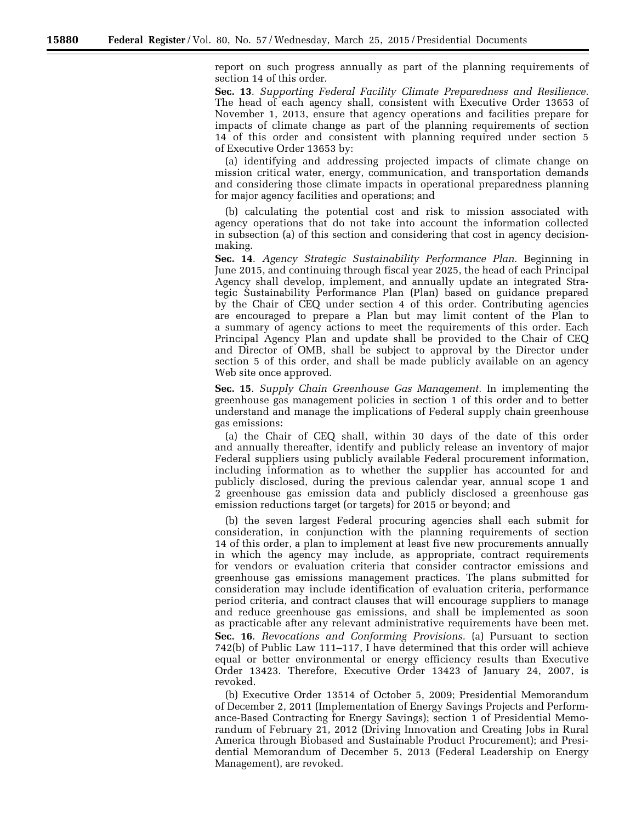report on such progress annually as part of the planning requirements of section 14 of this order.

**Sec. 13**. *Supporting Federal Facility Climate Preparedness and Resilience.*  The head of each agency shall, consistent with Executive Order 13653 of November 1, 2013, ensure that agency operations and facilities prepare for impacts of climate change as part of the planning requirements of section 14 of this order and consistent with planning required under section 5 of Executive Order 13653 by:

(a) identifying and addressing projected impacts of climate change on mission critical water, energy, communication, and transportation demands and considering those climate impacts in operational preparedness planning for major agency facilities and operations; and

(b) calculating the potential cost and risk to mission associated with agency operations that do not take into account the information collected in subsection (a) of this section and considering that cost in agency decisionmaking.

**Sec. 14**. *Agency Strategic Sustainability Performance Plan.* Beginning in June 2015, and continuing through fiscal year 2025, the head of each Principal Agency shall develop, implement, and annually update an integrated Strategic Sustainability Performance Plan (Plan) based on guidance prepared by the Chair of CEQ under section 4 of this order. Contributing agencies are encouraged to prepare a Plan but may limit content of the Plan to a summary of agency actions to meet the requirements of this order. Each Principal Agency Plan and update shall be provided to the Chair of CEQ and Director of OMB, shall be subject to approval by the Director under section 5 of this order, and shall be made publicly available on an agency Web site once approved.

**Sec. 15**. *Supply Chain Greenhouse Gas Management.* In implementing the greenhouse gas management policies in section 1 of this order and to better understand and manage the implications of Federal supply chain greenhouse gas emissions:

(a) the Chair of CEQ shall, within 30 days of the date of this order and annually thereafter, identify and publicly release an inventory of major Federal suppliers using publicly available Federal procurement information, including information as to whether the supplier has accounted for and publicly disclosed, during the previous calendar year, annual scope 1 and 2 greenhouse gas emission data and publicly disclosed a greenhouse gas emission reductions target (or targets) for 2015 or beyond; and

(b) the seven largest Federal procuring agencies shall each submit for consideration, in conjunction with the planning requirements of section 14 of this order, a plan to implement at least five new procurements annually in which the agency may include, as appropriate, contract requirements for vendors or evaluation criteria that consider contractor emissions and greenhouse gas emissions management practices. The plans submitted for consideration may include identification of evaluation criteria, performance period criteria, and contract clauses that will encourage suppliers to manage and reduce greenhouse gas emissions, and shall be implemented as soon as practicable after any relevant administrative requirements have been met. **Sec. 16**. *Revocations and Conforming Provisions.* (a) Pursuant to section 742(b) of Public Law 111–117, I have determined that this order will achieve equal or better environmental or energy efficiency results than Executive Order 13423. Therefore, Executive Order 13423 of January 24, 2007, is revoked.

(b) Executive Order 13514 of October 5, 2009; Presidential Memorandum of December 2, 2011 (Implementation of Energy Savings Projects and Performance-Based Contracting for Energy Savings); section 1 of Presidential Memorandum of February 21, 2012 (Driving Innovation and Creating Jobs in Rural America through Biobased and Sustainable Product Procurement); and Presidential Memorandum of December 5, 2013 (Federal Leadership on Energy Management), are revoked.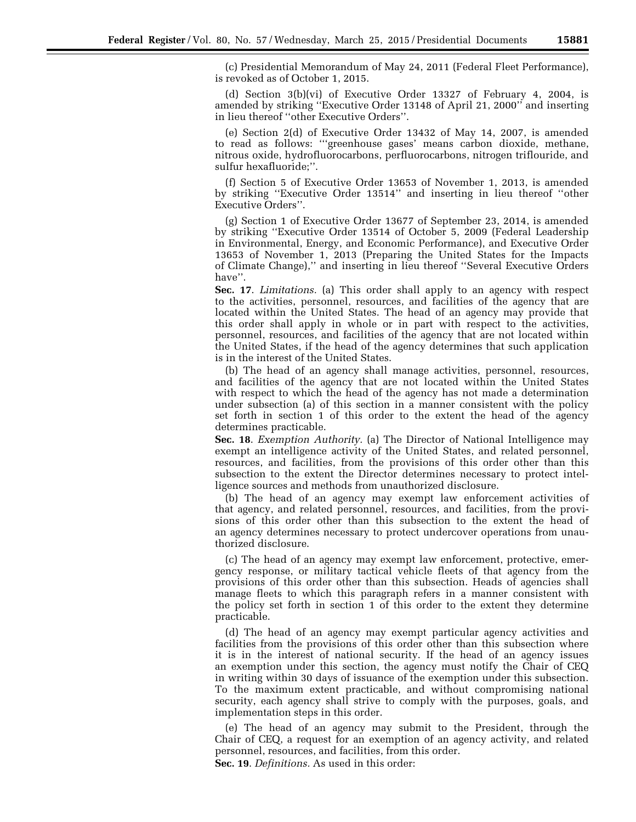(c) Presidential Memorandum of May 24, 2011 (Federal Fleet Performance), is revoked as of October 1, 2015.

(d) Section 3(b)(vi) of Executive Order 13327 of February 4, 2004, is amended by striking ''Executive Order 13148 of April 21, 2000'' and inserting in lieu thereof ''other Executive Orders''.

(e) Section 2(d) of Executive Order 13432 of May 14, 2007, is amended to read as follows: '''greenhouse gases' means carbon dioxide, methane, nitrous oxide, hydrofluorocarbons, perfluorocarbons, nitrogen triflouride, and sulfur hexafluoride;''.

(f) Section 5 of Executive Order 13653 of November 1, 2013, is amended by striking ''Executive Order 13514'' and inserting in lieu thereof ''other Executive Orders''.

(g) Section 1 of Executive Order 13677 of September 23, 2014, is amended by striking ''Executive Order 13514 of October 5, 2009 (Federal Leadership in Environmental, Energy, and Economic Performance), and Executive Order 13653 of November 1, 2013 (Preparing the United States for the Impacts of Climate Change),'' and inserting in lieu thereof ''Several Executive Orders have''.

**Sec. 17**. *Limitations.* (a) This order shall apply to an agency with respect to the activities, personnel, resources, and facilities of the agency that are located within the United States. The head of an agency may provide that this order shall apply in whole or in part with respect to the activities, personnel, resources, and facilities of the agency that are not located within the United States, if the head of the agency determines that such application is in the interest of the United States.

(b) The head of an agency shall manage activities, personnel, resources, and facilities of the agency that are not located within the United States with respect to which the head of the agency has not made a determination under subsection (a) of this section in a manner consistent with the policy set forth in section 1 of this order to the extent the head of the agency determines practicable.

**Sec. 18**. *Exemption Authority.* (a) The Director of National Intelligence may exempt an intelligence activity of the United States, and related personnel, resources, and facilities, from the provisions of this order other than this subsection to the extent the Director determines necessary to protect intelligence sources and methods from unauthorized disclosure.

(b) The head of an agency may exempt law enforcement activities of that agency, and related personnel, resources, and facilities, from the provisions of this order other than this subsection to the extent the head of an agency determines necessary to protect undercover operations from unauthorized disclosure.

(c) The head of an agency may exempt law enforcement, protective, emergency response, or military tactical vehicle fleets of that agency from the provisions of this order other than this subsection. Heads of agencies shall manage fleets to which this paragraph refers in a manner consistent with the policy set forth in section 1 of this order to the extent they determine practicable.

(d) The head of an agency may exempt particular agency activities and facilities from the provisions of this order other than this subsection where it is in the interest of national security. If the head of an agency issues an exemption under this section, the agency must notify the Chair of CEQ in writing within 30 days of issuance of the exemption under this subsection. To the maximum extent practicable, and without compromising national security, each agency shall strive to comply with the purposes, goals, and implementation steps in this order.

(e) The head of an agency may submit to the President, through the Chair of CEQ, a request for an exemption of an agency activity, and related personnel, resources, and facilities, from this order. **Sec. 19**. *Definitions.* As used in this order: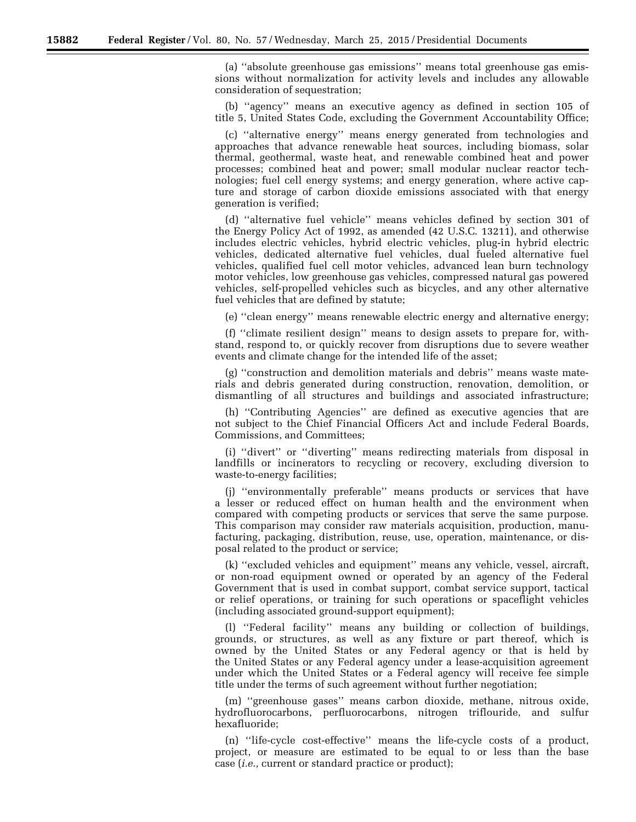(a) ''absolute greenhouse gas emissions'' means total greenhouse gas emissions without normalization for activity levels and includes any allowable consideration of sequestration;

(b) ''agency'' means an executive agency as defined in section 105 of title 5, United States Code, excluding the Government Accountability Office;

(c) ''alternative energy'' means energy generated from technologies and approaches that advance renewable heat sources, including biomass, solar thermal, geothermal, waste heat, and renewable combined heat and power processes; combined heat and power; small modular nuclear reactor technologies; fuel cell energy systems; and energy generation, where active capture and storage of carbon dioxide emissions associated with that energy generation is verified;

(d) ''alternative fuel vehicle'' means vehicles defined by section 301 of the Energy Policy Act of 1992, as amended (42 U.S.C. 13211), and otherwise includes electric vehicles, hybrid electric vehicles, plug-in hybrid electric vehicles, dedicated alternative fuel vehicles, dual fueled alternative fuel vehicles, qualified fuel cell motor vehicles, advanced lean burn technology motor vehicles, low greenhouse gas vehicles, compressed natural gas powered vehicles, self-propelled vehicles such as bicycles, and any other alternative fuel vehicles that are defined by statute;

(e) ''clean energy'' means renewable electric energy and alternative energy;

(f) ''climate resilient design'' means to design assets to prepare for, withstand, respond to, or quickly recover from disruptions due to severe weather events and climate change for the intended life of the asset;

(g) ''construction and demolition materials and debris'' means waste materials and debris generated during construction, renovation, demolition, or dismantling of all structures and buildings and associated infrastructure;

(h) ''Contributing Agencies'' are defined as executive agencies that are not subject to the Chief Financial Officers Act and include Federal Boards, Commissions, and Committees;

(i) ''divert'' or ''diverting'' means redirecting materials from disposal in landfills or incinerators to recycling or recovery, excluding diversion to waste-to-energy facilities;

(j) ''environmentally preferable'' means products or services that have a lesser or reduced effect on human health and the environment when compared with competing products or services that serve the same purpose. This comparison may consider raw materials acquisition, production, manufacturing, packaging, distribution, reuse, use, operation, maintenance, or disposal related to the product or service;

(k) ''excluded vehicles and equipment'' means any vehicle, vessel, aircraft, or non-road equipment owned or operated by an agency of the Federal Government that is used in combat support, combat service support, tactical or relief operations, or training for such operations or spaceflight vehicles (including associated ground-support equipment);

(l) ''Federal facility'' means any building or collection of buildings, grounds, or structures, as well as any fixture or part thereof, which is owned by the United States or any Federal agency or that is held by the United States or any Federal agency under a lease-acquisition agreement under which the United States or a Federal agency will receive fee simple title under the terms of such agreement without further negotiation;

(m) ''greenhouse gases'' means carbon dioxide, methane, nitrous oxide, hydrofluorocarbons, perfluorocarbons, nitrogen triflouride, and sulfur hexafluoride;

(n) ''life-cycle cost-effective'' means the life-cycle costs of a product, project, or measure are estimated to be equal to or less than the base case (*i.e.,* current or standard practice or product);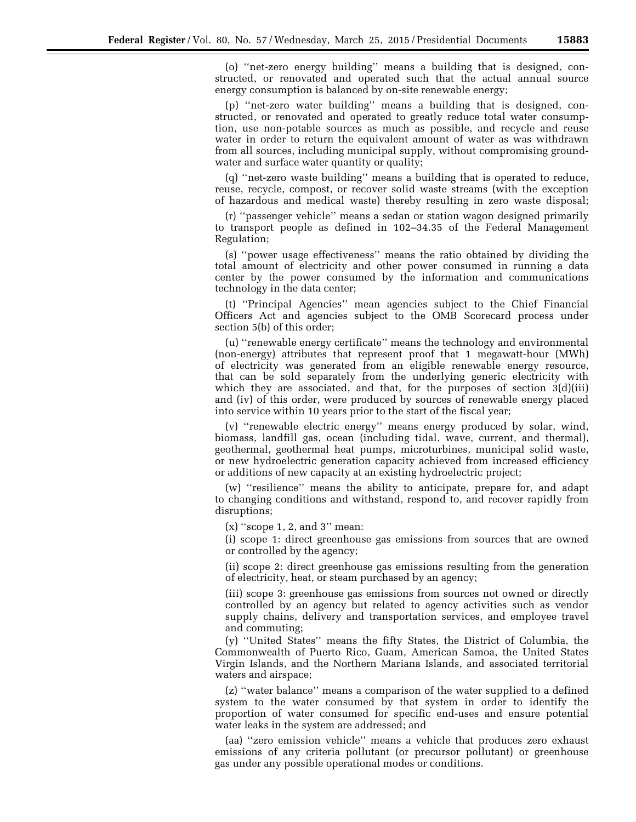(o) ''net-zero energy building'' means a building that is designed, constructed, or renovated and operated such that the actual annual source energy consumption is balanced by on-site renewable energy;

(p) ''net-zero water building'' means a building that is designed, constructed, or renovated and operated to greatly reduce total water consumption, use non-potable sources as much as possible, and recycle and reuse water in order to return the equivalent amount of water as was withdrawn from all sources, including municipal supply, without compromising groundwater and surface water quantity or quality;

(q) ''net-zero waste building'' means a building that is operated to reduce, reuse, recycle, compost, or recover solid waste streams (with the exception of hazardous and medical waste) thereby resulting in zero waste disposal;

(r) ''passenger vehicle'' means a sedan or station wagon designed primarily to transport people as defined in 102–34.35 of the Federal Management Regulation;

(s) ''power usage effectiveness'' means the ratio obtained by dividing the total amount of electricity and other power consumed in running a data center by the power consumed by the information and communications technology in the data center;

(t) ''Principal Agencies'' mean agencies subject to the Chief Financial Officers Act and agencies subject to the OMB Scorecard process under section 5(b) of this order;

(u) ''renewable energy certificate'' means the technology and environmental (non-energy) attributes that represent proof that 1 megawatt-hour (MWh) of electricity was generated from an eligible renewable energy resource, that can be sold separately from the underlying generic electricity with which they are associated, and that, for the purposes of section 3(d)(iii) and (iv) of this order, were produced by sources of renewable energy placed into service within 10 years prior to the start of the fiscal year;

(v) ''renewable electric energy'' means energy produced by solar, wind, biomass, landfill gas, ocean (including tidal, wave, current, and thermal), geothermal, geothermal heat pumps, microturbines, municipal solid waste, or new hydroelectric generation capacity achieved from increased efficiency or additions of new capacity at an existing hydroelectric project;

(w) ''resilience'' means the ability to anticipate, prepare for, and adapt to changing conditions and withstand, respond to, and recover rapidly from disruptions;

(x) ''scope 1, 2, and 3'' mean:

(i) scope 1: direct greenhouse gas emissions from sources that are owned or controlled by the agency;

(ii) scope 2: direct greenhouse gas emissions resulting from the generation of electricity, heat, or steam purchased by an agency;

(iii) scope 3: greenhouse gas emissions from sources not owned or directly controlled by an agency but related to agency activities such as vendor supply chains, delivery and transportation services, and employee travel and commuting;

(y) ''United States'' means the fifty States, the District of Columbia, the Commonwealth of Puerto Rico, Guam, American Samoa, the United States Virgin Islands, and the Northern Mariana Islands, and associated territorial waters and airspace;

(z) ''water balance'' means a comparison of the water supplied to a defined system to the water consumed by that system in order to identify the proportion of water consumed for specific end-uses and ensure potential water leaks in the system are addressed; and

(aa) ''zero emission vehicle'' means a vehicle that produces zero exhaust emissions of any criteria pollutant (or precursor pollutant) or greenhouse gas under any possible operational modes or conditions.